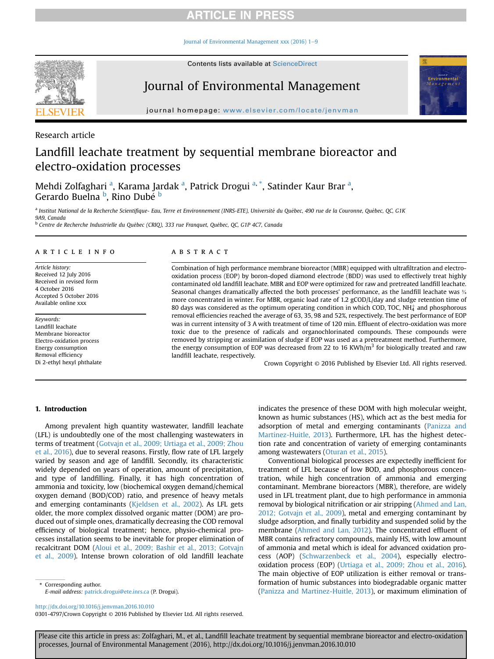## **ARTICLE IN PRESS**

Journal of Environmental Management xxx (2016)  $1-9$  $1-9$ 



Contents lists available at ScienceDirect

# Journal of Environmental Management



journal homepage: [www.elsevier.com/locate/jenvman](http://www.elsevier.com/locate/jenvman)

## Research article

# Landfill leachate treatment by sequential membrane bioreactor and electro-oxidation processes

Mehdi Zolfaghari <sup>a</sup>, Karama Jardak <sup>a</sup>, Patrick Drogui <sup>a, \*</sup>, Satinder Kaur Brar <sup>a</sup>, Gerardo Buelna <sup>b</sup>, Rino Dubé <sup>b</sup>

a Institut National de la Recherche Scientifique- Eau, Terre et Environnement (INRS-ETE), Université du Québec, 490 rue de la Couronne, Québec, QC, G1K 9A9, Canada

<sup>b</sup> Centre de Recherche Industrielle du Québec (CRIQ), 333 rue Franquet, Québec, QC, G1P 4C7, Canada

## article info

Article history: Received 12 July 2016 Received in revised form 4 October 2016 Accepted 5 October 2016 Available online xxx

Keywords: Landfill leachate Membrane bioreactor Electro-oxidation process Energy consumption Removal efficiency Di 2-ethyl hexyl phthalate

## **ABSTRACT**

Combination of high performance membrane bioreactor (MBR) equipped with ultrafiltration and electrooxidation process (EOP) by boron-doped diamond electrode (BDD) was used to effectively treat highly contaminated old landfill leachate. MBR and EOP were optimized for raw and pretreated landfill leachate. Seasonal changes dramatically affected the both processes' performance, as the landfill leachate was ¾ more concentrated in winter. For MBR, organic load rate of 1.2 gCOD/L/day and sludge retention time of 80 days was considered as the optimum operating condition in which COD, TOC, NH $\ddagger$  and phosphorous removal efficiencies reached the average of 63, 35, 98 and 52%, respectively. The best performance of EOP was in current intensity of 3 A with treatment of time of 120 min. Effluent of electro-oxidation was more toxic due to the presence of radicals and organochlorinated compounds. These compounds were removed by stripping or assimilation of sludge if EOP was used as a pretreatment method. Furthermore, the energy consumption of EOP was decreased from 22 to 16 KWh/ $m<sup>3</sup>$  for biologically treated and raw landfill leachate, respectively.

Crown Copyright © 2016 Published by Elsevier Ltd. All rights reserved.

## 1. Introduction

Among prevalent high quantity wastewater, landfill leachate (LFL) is undoubtedly one of the most challenging wastewaters in terms of treatment ([Gotvajn et al., 2009; Urtiaga et al., 2009; Zhou](#page-8-0) [et al., 2016](#page-8-0)), due to several reasons. Firstly, flow rate of LFL largely varied by season and age of landfill. Secondly, its characteristic widely depended on years of operation, amount of precipitation, and type of landfilling. Finally, it has high concentration of ammonia and toxicity, low (biochemical oxygen demand/chemical oxygen demand (BOD/COD) ratio, and presence of heavy metals and emerging contaminants [\(Kjeldsen et al., 2002](#page-8-0)). As LFL gets older, the more complex dissolved organic matter (DOM) are produced out of simple ones, dramatically decreasing the COD removal efficiency of biological treatment; hence, physio-chemical processes installation seems to be inevitable for proper elimination of recalcitrant DOM ([Aloui et al., 2009; Bashir et al., 2013; Gotvajn](#page-8-0) [et al., 2009\)](#page-8-0). Intense brown coloration of old landfill leachate

Corresponding author. E-mail address: [patrick.drogui@ete.inrs.ca](mailto:patrick.drogui@ete.inrs.ca) (P. Drogui). indicates the presence of these DOM with high molecular weight, known as humic substances (HS), which act as the best media for adsorption of metal and emerging contaminants [\(Panizza and](#page-8-0) [Martinez-Huitle, 2013](#page-8-0)). Furthermore, LFL has the highest detection rate and concentration of variety of emerging contaminants among wastewaters ([Oturan et al., 2015](#page-8-0)).

Conventional biological processes are expectedly inefficient for treatment of LFL because of low BOD, and phosphorous concentration, while high concentration of ammonia and emerging contaminant. Membrane bioreactors (MBR), therefore, are widely used in LFL treatment plant, due to high performance in ammonia removal by biological nitrification or air stripping ([Ahmed and Lan,](#page-8-0) [2012; Gotvajn et al., 2009](#page-8-0)), metal and emerging contaminant by sludge adsorption, and finally turbidity and suspended solid by the membrane ([Ahmed and Lan, 2012](#page-8-0)). The concentrated effluent of MBR contains refractory compounds, mainly HS, with low amount of ammonia and metal which is ideal for advanced oxidation process (AOP) [\(Schwarzenbeck et al., 2004](#page-8-0)), especially electrooxidation process (EOP) [\(Urtiaga et al., 2009; Zhou et al., 2016\)](#page-8-0). The main objective of EOP utilization is either removal or transformation of humic substances into biodegradable organic matter ([Panizza and Martinez-Huitle, 2013](#page-8-0)), or maximum elimination of

<http://dx.doi.org/10.1016/j.jenvman.2016.10.010>

0301-4797/Crown Copyright © 2016 Published by Elsevier Ltd. All rights reserved.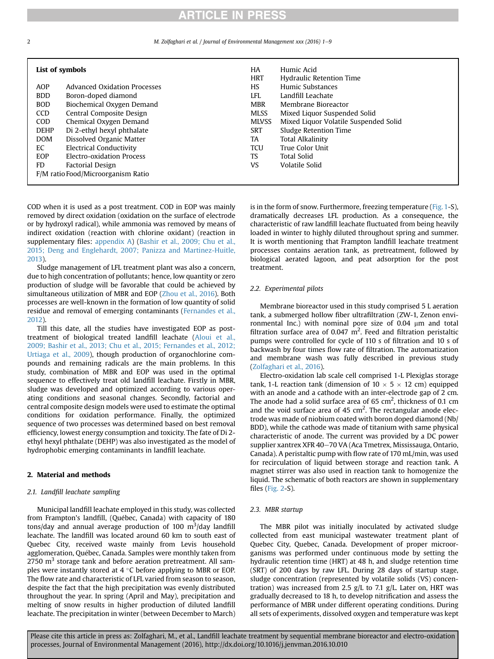## **ARTICLE IN PRESS**

M. Zolfaghari et al. / Journal of Environmental Management xxx (2016) 1-9

| List of symbols |                                     | HA<br><b>HRT</b> | Humic Acid<br><b>Hydraulic Retention Time</b> |
|-----------------|-------------------------------------|------------------|-----------------------------------------------|
| AOP             | <b>Advanced Oxidation Processes</b> | <b>HS</b>        | Humic Substances                              |
| <b>BDD</b>      | Boron-doped diamond                 | <b>LFL</b>       | Landfill Leachate                             |
| <b>BOD</b>      | Biochemical Oxygen Demand           | <b>MBR</b>       | Membrane Bioreactor                           |
| <b>CCD</b>      | Central Composite Design            | <b>MLSS</b>      | Mixed Liquor Suspended Solid                  |
| <b>COD</b>      | Chemical Oxygen Demand              | <b>MLVSS</b>     | Mixed Liquor Volatile Suspended Solid         |
| <b>DEHP</b>     | Di 2-ethyl hexyl phthalate          | SRT              | Sludge Retention Time                         |
| <b>DOM</b>      | Dissolved Organic Matter            | TA               | <b>Total Alkalinity</b>                       |
| EC              | <b>Electrical Conductivity</b>      | <b>TCU</b>       | True Color Unit                               |
| EOP             | Electro-oxidation Process           | <b>TS</b>        | <b>Total Solid</b>                            |
| FD.             | Factorial Design                    | VS               | Volatile Solid                                |
|                 | F/M ratio Food/Microorganism Ratio  |                  |                                               |

COD when it is used as a post treatment. COD in EOP was mainly removed by direct oxidation (oxidation on the surface of electrode or by hydroxyl radical), while ammonia was removed by means of indirect oxidation (reaction with chlorine oxidant) (reaction in supplementary files: appendix A) [\(Bashir et al., 2009; Chu et al.,](#page-8-0) [2015; Deng and Englehardt, 2007; Panizza and Martinez-Huitle,](#page-8-0) [2013](#page-8-0)).

Sludge management of LFL treatment plant was also a concern, due to high concentration of pollutants; hence, low quantity or zero production of sludge will be favorable that could be achieved by simultaneous utilization of MBR and EOP ([Zhou et al., 2016\)](#page-8-0). Both processes are well-known in the formation of low quantity of solid residue and removal of emerging contaminants [\(Fernandes et al.,](#page-8-0) [2012](#page-8-0)).

Till this date, all the studies have investigated EOP as posttreatment of biological treated landfill leachate [\(Aloui et al.,](#page-8-0) [2009; Bashir et al., 2013; Chu et al., 2015; Fernandes et al., 2012;](#page-8-0) [Urtiaga et al., 2009](#page-8-0)), though production of organochlorine compounds and remaining radicals are the main problems. In this study, combination of MBR and EOP was used in the optimal sequence to effectively treat old landfill leachate. Firstly in MBR, sludge was developed and optimized according to various operating conditions and seasonal changes. Secondly, factorial and central composite design models were used to estimate the optimal conditions for oxidation performance. Finally, the optimized sequence of two processes was determined based on best removal efficiency, lowest energy consumption and toxicity. The fate of Di 2 ethyl hexyl phthalate (DEHP) was also investigated as the model of hydrophobic emerging contaminants in landfill leachate.

## 2. Material and methods

### 2.1. Landfill leachate sampling

Municipal landfill leachate employed in this study, was collected from Frampton's landfill, (Quebec, Canada) with capacity of 180 tons/day and annual average production of 100  $\mathrm{m}^3/\mathrm{day}$  landfill leachate. The landfill was located around 60 km to south east of Quebec City, received waste mainly from Levis household agglomeration, Quebec, Canada. Samples were monthly taken from  $2750 \text{ m}^3$  storage tank and before aeration pretreatment. All samples were instantly stored at 4  $\degree$ C before applying to MBR or EOP. The flow rate and characteristic of LFL varied from season to season, despite the fact that the high precipitation was evenly distributed throughout the year. In spring (April and May), precipitation and melting of snow results in higher production of diluted landfill leachate. The precipitation in winter (between December to March) is in the form of snow. Furthermore, freezing temperature (Fig. 1-S), dramatically decreases LFL production. As a consequence, the characteristic of raw landfill leachate fluctuated from being heavily loaded in winter to highly diluted throughout spring and summer. It is worth mentioning that Frampton landfill leachate treatment processes contains aeration tank, as pretreatment, followed by biological aerated lagoon, and peat adsorption for the post treatment.

## 2.2. Experimental pilots

Membrane bioreactor used in this study comprised 5 L aeration tank, a submerged hollow fiber ultrafiltration (ZW-1, Zenon environmental Inc.) with nominal pore size of  $0.04 \mu m$  and total filtration surface area of 0.047  $m^2$ . Feed and filtration peristaltic pumps were controlled for cycle of 110 s of filtration and 10 s of backwash by four times flow rate of filtration. The automatization and membrane wash was fully described in previous study ([Zolfaghari et al., 2016](#page-8-0)).

Electro-oxidation lab scale cell comprised 1-L Plexiglas storage tank, 1-L reaction tank (dimension of  $10 \times 5 \times 12$  cm) equipped with an anode and a cathode with an inter-electrode gap of 2 cm. The anode had a solid surface area of 65 cm<sup>2</sup>, thickness of 0.1 cm and the void surface area of 45  $cm<sup>2</sup>$ . The rectangular anode electrode was made of niobium coated with boron doped diamond (Nb/ BDD), while the cathode was made of titanium with same physical characteristic of anode. The current was provided by a DC power supplier xantrex XFR 40–70 VA (Aca Tmetrex, Mississauga, Ontario, Canada). A peristaltic pump with flow rate of 170 mL/min, was used for recirculation of liquid between storage and reaction tank. A magnet stirrer was also used in reaction tank to homogenize the liquid. The schematic of both reactors are shown in supplementary files (Fig. 2-S).

## 2.3. MBR startup

The MBR pilot was initially inoculated by activated sludge collected from east municipal wastewater treatment plant of Quebec City, Quebec, Canada. Development of proper microorganisms was performed under continuous mode by setting the hydraulic retention time (HRT) at 48 h, and sludge retention time (SRT) of 200 days by raw LFL. During 28 days of startup stage, sludge concentration (represented by volatile solids (VS) concentration) was increased from 2.5  $g/L$  to 7.1  $g/L$ . Later on, HRT was gradually decreased to 18 h, to develop nitrification and assess the performance of MBR under different operating conditions. During all sets of experiments, dissolved oxygen and temperature was kept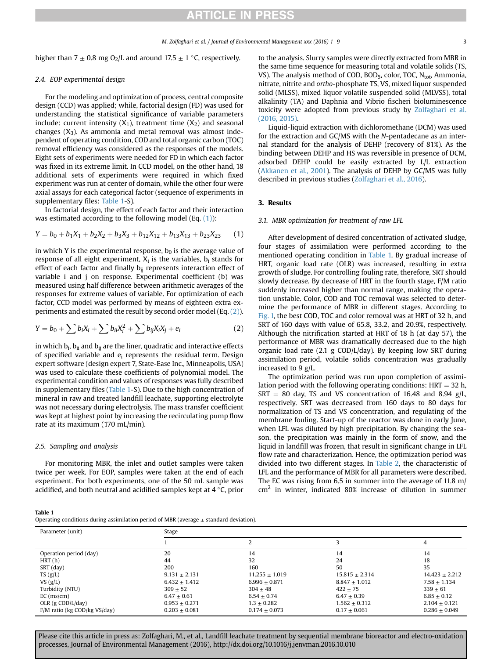## **RTICLE IN PRESS**

<span id="page-2-0"></span>higher than 7  $\pm$  0.8 mg O<sub>2</sub>/L and around 17.5  $\pm$  1 °C, respectively.

### 2.4. EOP experimental design

For the modeling and optimization of process, central composite design (CCD) was applied; while, factorial design (FD) was used for understanding the statistical significance of variable parameters include: current intensity  $(X_1)$ , treatment time  $(X_2)$  and seasonal changes  $(X_3)$ . As ammonia and metal removal was almost independent of operating condition, COD and total organic carbon (TOC) removal efficiency was considered as the responses of the models. Eight sets of experiments were needed for FD in which each factor was fixed in its extreme limit. In CCD model, on the other hand, 18 additional sets of experiments were required in which fixed experiment was run at center of domain, while the other four were axial assays for each categorical factor (sequence of experiments in supplementary files: Table 1-S).

In factorial design, the effect of each factor and their interaction was estimated according to the following model (Eq.  $(1)$ ):

$$
Y = b_0 + b_1 X_1 + b_2 X_2 + b_3 X_3 + b_{12} X_{12} + b_{13} X_{13} + b_{23} X_{23}
$$
 (1)

in which Y is the experimental response,  $b_0$  is the average value of response of all eight experiment,  $X_i$  is the variables,  $b_i$  stands for effect of each factor and finally  $b_{ii}$  represents interaction effect of variable i and j on response. Experimental coefficient (b) was measured using half difference between arithmetic averages of the responses for extreme values of variable. For optimization of each factor, CCD model was performed by means of eighteen extra experiments and estimated the result by second order model (Eq. (2)).

$$
Y = b_0 + \sum b_i X_i + \sum b_{ii} X_i^2 + \sum b_{ij} X_i X_j + e_i
$$
 (2)

in which  $b_i$ ,  $b_{ii}$  and  $b_{ii}$  are the liner, quadratic and interactive effects of specified variable and  $e_i$  represents the residual term. Design expert software (design expert 7, State-Ease Inc., Minneapolis, USA) was used to calculate these coefficients of polynomial model. The experimental condition and values of responses was fully described in supplementary files (Table 1-S). Due to the high concentration of mineral in raw and treated landfill leachate, supporting electrolyte was not necessary during electrolysis. The mass transfer coefficient was kept at highest point by increasing the recirculating pump flow rate at its maximum (170 mL/min).

## 2.5. Sampling and analysis

For monitoring MBR, the inlet and outlet samples were taken twice per week. For EOP, samples were taken at the end of each experiment. For both experiments, one of the 50 mL sample was acidified, and both neutral and acidified samples kept at  $4^{\circ}$ C, prior

to the analysis. Slurry samples were directly extracted from MBR in the same time sequence for measuring total and volatile solids (TS, VS). The analysis method of COD, BOD<sub>5</sub>, color, TOC, N<sub>tot</sub>, Ammonia, nitrate, nitrite and ortho-phosphate TS, VS, mixed liquor suspended solid (MLSS), mixed liquor volatile suspended solid (MLVSS), total alkalinity (TA) and Daphnia and Vibrio fischeri bioluminescence toxicity were adopted from previous study by [Zolfaghari et al.](#page-8-0) [\(2016, 2015\)](#page-8-0).

Liquid-liquid extraction with dichloromethane (DCM) was used for the extraction and GC/MS with the N-pentadecane as an internal standard for the analysis of DEHP (recovery of 81%). As the binding between DEHP and HS was reversible in presence of DCM, adsorbed DEHP could be easily extracted by L/L extraction ([Akkanen et al., 2001\)](#page-8-0). The analysis of DEHP by GC/MS was fully described in previous studies ([Zolfaghari et al., 2016](#page-8-0)).

## 3. Results

### 3.1. MBR optimization for treatment of raw LFL

After development of desired concentration of activated sludge, four stages of assimilation were performed according to the mentioned operating condition in Table 1. By gradual increase of HRT, organic load rate (OLR) was increased, resulting in extra growth of sludge. For controlling fouling rate, therefore, SRT should slowly decrease. By decrease of HRT in the fourth stage, F/M ratio suddenly increased higher than normal range, making the operation unstable. Color, COD and TOC removal was selected to determine the performance of MBR in different stages. According to [Fig. 1,](#page-3-0) the best COD, TOC and color removal was at HRT of 32 h, and SRT of 160 days with value of 65.8, 33.2, and 20.9%, respectively. Although the nitrification started at HRT of 18 h (at day 57), the performance of MBR was dramatically decreased due to the high organic load rate (2.1 g COD/L/day). By keeping low SRT during assimilation period, volatile solids concentration was gradually increased to 9 g/L.

The optimization period was run upon completion of assimilation period with the following operating conditions:  $HRT = 32$  h,  $SRT = 80$  day, TS and VS concentration of 16.48 and 8.94 g/L, respectively. SRT was decreased from 160 days to 80 days for normalization of TS and VS concentration, and regulating of the membrane fouling. Start-up of the reactor was done in early June, when LFL was diluted by high precipitation. By changing the season, the precipitation was mainly in the form of snow, and the liquid in landfill was frozen, that result in significant change in LFL flow rate and characterization. Hence, the optimization period was divided into two different stages. In [Table 2](#page-3-0), the characteristic of LFL and the performance of MBR for all parameters were described. The EC was rising from 6.5 in summer into the average of 11.8 m/  $cm<sup>2</sup>$  in winter, indicated 80% increase of dilution in summer

| Table 1                                                                                    |  |  |
|--------------------------------------------------------------------------------------------|--|--|
| Operating conditions during assimilation period of MBR (average $\pm$ standard deviation). |  |  |

| Parameter (unit)             | Stage           |                    |                  |                  |  |
|------------------------------|-----------------|--------------------|------------------|------------------|--|
|                              |                 |                    |                  | 4                |  |
| Operation period (day)       | 20              | 14                 | 14               | 14               |  |
| HRT(h)                       | 44              | 32                 | 24               | 18               |  |
| SRT (day)                    | 200             | 160                | 50               | 35               |  |
| TS(g/L)                      | $9.131 + 2.131$ | $11.255 \pm 1.019$ | $15.815 + 2.314$ | $14.423 + 2.212$ |  |
| VS $(g/L)$                   | $6.432 + 1.412$ | $6.996 \pm 0.871$  | $8.847 + 1.012$  | $7.58 \pm 1.134$ |  |
| Turbidity (NTU)              | $309 + 52$      | $304 + 48$         | $422 + 75$       | $339 + 61$       |  |
| $EC$ (ms/cm)                 | $6.47 + 0.61$   | $6.54 + 0.74$      | $6.47 + 0.39$    | $6.85 + 0.12$    |  |
| OLR $(g \text{ COD/L/day})$  | $0.953 + 0.271$ | $1.3 + 0.282$      | $1.562 + 0.312$  | $2.104 + 0.121$  |  |
| F/M ratio (kg COD/kg VS/day) | $0.203 + 0.081$ | $0.174 + 0.073$    | $0.17 + 0.061$   | $0.286 + 0.049$  |  |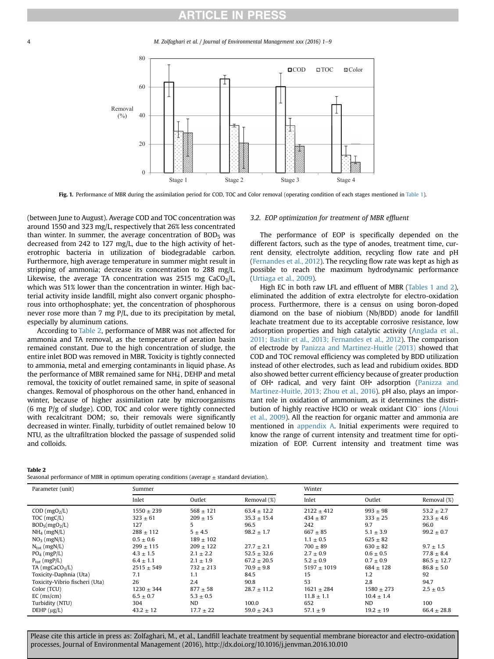## **RTICLE IN PRESS**

<span id="page-3-0"></span>4 M. Zolfaghari et al. / Journal of Environmental Management xxx (2016) 1–9



Fig. 1. Performance of MBR during the assimilation period for COD, TOC and Color removal (operating condition of each stages mentioned in [Table 1\)](#page-2-0).

(between June to August). Average COD and TOC concentration was around 1550 and 323 mg/L, respectively that 26% less concentrated than winter. In summer, the average concentration of  $BOD<sub>5</sub>$  was decreased from 242 to 127 mg/L, due to the high activity of heterotrophic bacteria in utilization of biodegradable carbon. Furthermore, high average temperature in summer might result in stripping of ammonia; decrease its concentration to 288 mg/L. Likewise, the average TA concentration was 2515 mg  $CaCO<sub>3</sub>/L$ , which was 51% lower than the concentration in winter. High bacterial activity inside landfill, might also convert organic phosphorous into orthophosphate; yet, the concentration of phosphorous never rose more than 7 mg P/L, due to its precipitation by metal, especially by aluminum cations.

According to Table 2, performance of MBR was not affected for ammonia and TA removal, as the temperature of aeration basin remained constant. Due to the high concentration of sludge, the entire inlet BOD was removed in MBR. Toxicity is tightly connected to ammonia, metal and emerging contaminants in liquid phase. As the performance of MBR remained same for NH $_4^{\scriptscriptstyle +}$ , DEHP and metal removal, the toxicity of outlet remained same, in spite of seasonal changes. Removal of phosphorous on the other hand, enhanced in winter, because of higher assimilation rate by microorganisms (6 mg P/g of sludge). COD, TOC and color were tightly connected with recalcitrant DOM; so, their removals were significantly decreased in winter. Finally, turbidity of outlet remained below 10 NTU, as the ultrafiltration blocked the passage of suspended solid and colloids.

### 3.2. EOP optimization for treatment of MBR effluent

The performance of EOP is specifically depended on the different factors, such as the type of anodes, treatment time, current density, electrolyte addition, recycling flow rate and pH ([Fernandes et al., 2012\)](#page-8-0). The recycling flow rate was kept as high as possible to reach the maximum hydrodynamic performance ([Urtiaga et al., 2009\)](#page-8-0).

High EC in both raw LFL and effluent of MBR [\(Tables 1 and 2\)](#page-2-0), eliminated the addition of extra electrolyte for electro-oxidation process. Furthermore, there is a census on using boron-doped diamond on the base of niobium (Nb/BDD) anode for landfill leachate treatment due to its acceptable corrosive resistance, low adsorption properties and high catalytic activity ([Anglada et al.,](#page-8-0) [2011; Bashir et al., 2013; Fernandes et al., 2012\)](#page-8-0). The comparison of electrode by [Panizza and Martinez-Huitle \(2013\)](#page-8-0) showed that COD and TOC removal efficiency was completed by BDD utilization instead of other electrodes, such as lead and rubidium oxides. BDD also showed better current efficiency because of greater production of OH<sup>·</sup> radical, and very faint OH<sup>·</sup> adsorption [\(Panizza and](#page-8-0) [Martinez-Huitle, 2013; Zhou et al., 2016](#page-8-0)). pH also, plays an important role in oxidation of ammonium, as it determines the distribution of highly reactive HClO or weak oxidant  $ClO^-$  ions [\(Aloui](#page-8-0) [et al., 2009](#page-8-0)). All the reaction for organic matter and ammonia are mentioned in appendix A. Initial experiments were required to know the range of current intensity and treatment time for optimization of EOP. Current intensity and treatment time was

#### Table 2

| Parameter (unit)                                 | Summer                         |                             |                                    | Winter                       |                              |                                  |
|--------------------------------------------------|--------------------------------|-----------------------------|------------------------------------|------------------------------|------------------------------|----------------------------------|
|                                                  | Inlet                          | Outlet                      | Removal (%)                        | Inlet                        | Outlet                       | Removal (%)                      |
| $COD$ (mgO <sub>2</sub> /L)<br>$TOC$ (mg $C/L$ ) | $1550 \pm 239$<br>$323 \pm 61$ | $568 \pm 121$<br>$209 + 15$ | $63.4 \pm 12.2$<br>$35.3 \pm 15.4$ | $2122 \pm 412$<br>$434 + 87$ | $993 \pm 98$<br>$333 \pm 25$ | $53.2 \pm 2.7$<br>$23.3 \pm 4.6$ |
| BOD <sub>5</sub> (mgO <sub>2</sub> /L)           | 127                            | 5                           | 96.5                               | 242                          | 9.7                          | 96.0                             |
| $NH_4$ (mgN/L)                                   | $288 \pm 112$                  | $5 \pm 4.5$                 | $98.2 \pm 1.7$                     | $667 + 85$                   | $5.1 \pm 3.9$                | $99.2 \pm 0.7$                   |
| $NO3$ (mgN/L)                                    | $0.5 \pm 0.6$                  | $189 \pm 102$               |                                    | $1.1 \pm 0.5$                | $625 \pm 82$                 |                                  |
| $N_{\text{tot}}$ (mgN/L)                         | $299 \pm 115$                  | $209 \pm 122$               | $27.7 \pm 2.1$                     | $700 \pm 89$                 | $630 \pm 82$                 | $9.7 \pm 1.5$                    |
| $PO_4$ (mgP/L)                                   | $4.3 \pm 1.5$                  | $2.1 \pm 2.2$               | $52.5 \pm 32.6$                    | $2.7 \pm 0.9$                | $0.6 \pm 0.5$                | $77.8 \pm 8.4$                   |
| $P_{\text{tot}}$ (mgP/L)                         | $6.4 \pm 1.1$                  | $2.1 \pm 1.9$               | $67.2 \pm 20.5$                    | $5.2 \pm 0.9$                | $0.7 \pm 0.9$                | $86.5 \pm 12.7$                  |
| $TA$ (mgCaCO <sub>3</sub> /L)                    | $2515 \pm 549$                 | $732 \pm 213$               | $70.9 \pm 9.8$                     | $5197 + 1019$                | $684 + 128$                  | $86.8 \pm 5.0$                   |
| Toxicity-Daphnia (Uta)                           | 7.1                            | 1.1                         | 84.5                               | 15                           | 1.2                          | 92                               |
| Toxicity-Vibrio fischeri (Uta)                   | 26                             | 2.4                         | 90.8                               | 53                           | 2.8                          | 94.7                             |
| Color (TCU)                                      | $1230 \pm 344$                 | $877 + 58$                  | $28.7 \pm 11.2$                    | $1621 \pm 284$               | $1580 \pm 273$               | $2.5 \pm 0.5$                    |
| $EC$ (ms/cm)                                     | $6.5 + 0.7$                    | $5.3 \pm 0.5$               |                                    | $11.8 \pm 1.1$               | $10.4 + 1.4$                 |                                  |
| Turbidity (NTU)                                  | 304                            | ND                          | 100.0                              | 652                          | ND                           | 100                              |
| $DEHP$ ( $\mu$ g/L)                              | $43.2 \pm 12$                  | $17.7 \pm 22$               | $59.0 \pm 24.3$                    | 57.1 $\pm$ 9                 | $19.2 \pm 19$                | $66.4 \pm 28.8$                  |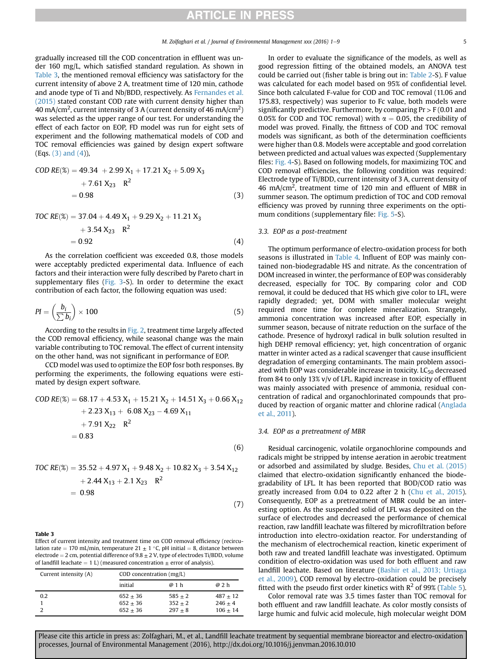gradually increased till the COD concentration in effluent was under 160 mg/L, which satisfied standard regulation. As shown in Table 3, the mentioned removal efficiency was satisfactory for the current intensity of above 2 A, treatment time of 120 min, cathode and anode type of Ti and Nb/BDD, respectively. As [Fernandes et al.](#page-8-0) [\(2015\)](#page-8-0) stated constant COD rate with current density higher than 40 mA/cm<sup>2</sup>, current intensity of 3 A (current density of 46 mA/cm<sup>2</sup>) was selected as the upper range of our test. For understanding the effect of each factor on EOP, FD model was run for eight sets of experiment and the following mathematical models of COD and TOC removal efficiencies was gained by design expert software (Eqs. (3) and (4)),

$$
COD RE(X) = 49.34 + 2.99 X1 + 17.21 X2 + 5.09 X3 + 7.61 X23 R2 = 0.98
$$
 (3)

$$
TOC RE(X) = 37.04 + 4.49 X_1 + 9.29 X_2 + 11.21 X_3
$$

$$
+3.54 X_{23} R^2
$$
  
= 0.92 (4)

As the correlation coefficient was exceeded 0.8, those models were acceptably predicted experimental data. Influence of each factors and their interaction were fully described by Pareto chart in supplementary files (Fig. 3-S). In order to determine the exact contribution of each factor, the following equation was used:

$$
PI = \left(\frac{b_i}{\sum b_i}\right) \times 100\tag{5}
$$

According to the results in [Fig. 2,](#page-5-0) treatment time largely affected the COD removal efficiency, while seasonal change was the main variable contributing to TOC removal. The effect of current intensity on the other hand, was not significant in performance of EOP.

CCD model was used to optimize the EOP fosr both responses. By performing the experiments, the following equations were estimated by design expert software.

$$
COD RE(\%) = 68.17 + 4.53 X1 + 15.21 X2 + 14.51 X3 + 0.66 X12+ 2.23 X13 + 6.08 X23 - 4.69 X11+ 7.91 X22 R2= 0.83
$$
 (6)

$$
TOC RE(\%) = 35.52 + 4.97 X1 + 9.48 X2 + 10.82 X3 + 3.54 X12+ 2.44 X13 + 2.1 X23 R2= 0.98
$$
 (7)

#### Table 3

Effect of current intensity and treatment time on COD removal efficiency (recirculation rate  $= 170$  mL/min, temperature 21  $\pm$  1 °C, pH initial  $= 8$ , distance between electrode = 2 cm, potential difference of  $9.8 \pm 2$  V, type of electrodes Ti/BDD, volume of landfill leachate  $= 1$  L) (measured concentration  $\pm$  error of analysis).

| Current intensity (A) | COD concentration $(mg/L)$ |                          |                         |
|-----------------------|----------------------------|--------------------------|-------------------------|
|                       | initial                    | @ 1 h                    | @ 2 h                   |
| 0.2                   | $652 + 36$                 | $585 + 2$                | $487 + 12$              |
|                       | $652 + 36$<br>$652 + 36$   | $352 \pm 2$<br>$297 + 8$ | $246 + 4$<br>$106 + 14$ |

In order to evaluate the significance of the models, as well as good regression fitting of the obtained models, an ANOVA test could be carried out (fisher table is bring out in: Table 2-S). F value was calculated for each model based on 95% of confidential level. Since both calculated F-value for COD and TOC removal (11.06 and 175.83, respectively) was superior to Fc value, both models were significantly predictive. Furthermore, by comparing  $Pr > F(0.01$  and 0.05% for COD and TOC removal) with  $\alpha = 0.05$ , the credibility of model was proved. Finally, the fittness of COD and TOC removal models was significant, as both of the determination coefficients were higher than 0.8. Models were acceptable and good correlation between predicted and actual values was expected (Supplementary files: Fig. 4-S). Based on following models, for maximizing TOC and COD removal efficiencies, the following condition was required: Electrode type of Ti/BDD, current intensity of 3 A, current density of 46 mA/cm<sup>2</sup>, treatment time of 120 min and effluent of MBR in summer season. The optimum prediction of TOC and COD removal efficiency was proved by running three experiments on the optimum conditions (supplementary file: Fig. 5-S).

#### 3.3. EOP as a post-treatment

The optimum performance of electro-oxidation process for both seasons is illustrated in [Table 4](#page-5-0). Influent of EOP was mainly contained non-biodegradable HS and nitrate. As the concentration of DOM increased in winter, the performance of EOP was considerably decreased, especially for TOC. By comparing color and COD removal, it could be deduced that HS which give color to LFL, were rapidly degraded; yet, DOM with smaller molecular weight required more time for complete mineralization. Strangely, ammonia concentration was increased after EOP, especially in summer season, because of nitrate reduction on the surface of the cathode. Presence of hydroxyl radical in bulk solution resulted in high DEHP removal efficiency; yet, high concentration of organic matter in winter acted as a radical scavenger that cause insufficient degradation of emerging contaminants. The main problem associated with EOP was considerable increase in toxicity.  $LC_{50}$  decreased from 84 to only 13% v/v of LFL. Rapid increase in toxicity of effluent was mainly associated with presence of ammonia, residual concentration of radical and organochlorinated compounds that produced by reaction of organic matter and chlorine radical ([Anglada](#page-8-0) [et al., 2011](#page-8-0)).

### 3.4. EOP as a pretreatment of MBR

Residual carcinogenic, volatile organochlorine compounds and radicals might be stripped by intense aeration in aerobic treatment or adsorbed and assimilated by sludge. Besides, [Chu et al. \(2015\)](#page-8-0) claimed that electro-oxidation significantly enhanced the biodegradability of LFL. It has been reported that BOD/COD ratio was greatly increased from 0.04 to 0.22 after 2 h ([Chu et al., 2015\)](#page-8-0). Consequently, EOP as a pretreatment of MBR could be an interesting option. As the suspended solid of LFL was deposited on the surface of electrodes and decreased the performance of chemical reaction, raw landfill leachate was filtered by microfiltration before introduction into electro-oxidation reactor. For understanding of the mechanism of electrochemical reaction, kinetic experiment of both raw and treated landfill leachate was investigated. Optimum condition of electro-oxidation was used for both effluent and raw landfill leachate. Based on literature ([Bashir et al., 2013; Urtiaga](#page-8-0) [et al., 2009\)](#page-8-0), COD removal by electro-oxidation could be precisely fitted with the pseudo first order kinetics with  $R^2$  of 99% ([Table 5\)](#page-5-0).

Color removal rate was 3.5 times faster than TOC removal for both effluent and raw landfill leachate. As color mostly consists of large humic and fulvic acid molecule, high molecular weight DOM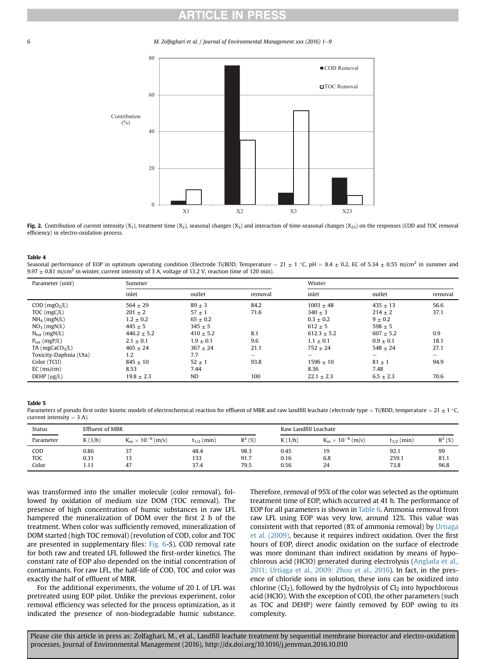## RTICLE IN PR

<span id="page-5-0"></span>6 **M. Zolfaghari et al. / Journal of Environmental Management xxx (2016) 1–9** 



Fig. 2. Contribution of current intensity  $(X_1)$ , treatment time  $(X_2)$ , seasonal changes  $(X_3)$  and interaction of time-seasonal changes  $(X_{23})$  on the responses (COD and TOC removal efficiency) in electro-oxidation process.

#### Table 4

Seasonal performance of EOP in optimum operating condition (Electrode Ti/BDD, Temperature = 21  $\pm$  1 °C, pH = 8.4  $\pm$  0.2, EC of 5.34  $\pm$  0.55 m/cm<sup>2</sup> in summer and 9.97  $\pm$  0.81 m/cm<sup>2</sup> in winter, current intensity of 3 A, voltage of 13.2 V, reaction time of 120 min).

| Parameter (unit)              | Summer          |               |         | Winter          |             |         |
|-------------------------------|-----------------|---------------|---------|-----------------|-------------|---------|
|                               | inlet           | outlet        | removal | inlet           | outlet      | removal |
| $COD$ (mgO <sub>2</sub> /L)   | $564 + 29$      | $89 \pm 3$    | 84.2    | $1003 + 48$     | $435 + 13$  | 56.6    |
| TOC (mgC/L)                   | $201 \pm 2$     | $57 \pm 1$    | 71.6    | $340 + 3$       | $214 + 2$   | 37.1    |
| $NH_4$ (mgN/L)                | $1.2 \pm 0.2$   | $65 \pm 0.2$  |         | $0.3 \pm 0.2$   | $9 \pm 0.2$ |         |
| $NO3$ (mgN/L)                 | $445 + 5$       | $345 \pm 5$   |         | $612 + 5$       | $598 + 5$   |         |
| $N_{\text{tot}}$ (mgN/L)      | $446.2 \pm 5.2$ | $410 \pm 5.2$ | 8.1     | $612.3 \pm 5.2$ | $607 + 5.2$ | 0.9     |
| $P_{\text{tot}}$ (mgP/L)      | $2.1 \pm 0.1$   | $1.9 + 0.1$   | 9.6     | $1.1 \pm 0.1$   | $0.9 + 0.1$ | 18.1    |
| $TA$ (mgCaCO <sub>3</sub> /L) | $465 + 24$      | $367 + 24$    | 21.1    | $752 + 24$      | $548 + 24$  | 27.1    |
| Toxicity-Daphnia (Uta)        | 1.2             | 7.7           | -       | -               | $-$         | -       |
| Color (TCU)                   | $845 + 10$      | $52 + 1$      | 93.8    | $1596 + 10$     | $81 + 1$    | 94.9    |
| $EC$ (ms/cm)                  | 8.53            | 7.44          |         | 8.36            | 7.48        |         |
| DEHP $(\mu g/L)$              | $19.8 + 2.3$    | <b>ND</b>     | 100     | $22.1 \pm 2.3$  | $6.5 + 2.3$ | 70.6    |

#### Table 5

Parameters of pseudo first order kinetic models of electrochemical reaction for effluent of MBR and raw landfill leachate (electrode type = Ti/BDD, temperature = 21  $\pm$  1  $^{\circ}$ C, current intensity  $=$  3 A).

| Status<br>_______ | Effluent of MBR |                                 |                 | Raw Landfill Leachate |        |                                               |                 |           |
|-------------------|-----------------|---------------------------------|-----------------|-----------------------|--------|-----------------------------------------------|-----------------|-----------|
| Parameter         | K(1/h)          | $.10-$<br>(m/s)<br>$K_m \times$ | $t_{1/2}$ (min) | $R^2$ (%)             | K(1/h) | $^{-6}$ (m/s)<br>$10^{\circ}$<br>$K_m \times$ | $t_{1/2}$ (min) | $R^2$ (%) |
| COD               | 0.86            | ີ<br>ر ۍ                        | 48.4            | 98.3                  | 0.45   | 19                                            | 92.1            | 99        |
| <b>TOC</b>        | 0.31            |                                 | 133             | 91.7                  | 0.16   | 6.8                                           | 259.1           | 81.1      |
| Color             | 1.11            | 47                              | 37.4            | 79.5                  | 0.56   | 24                                            | 73.8            | 96.8      |

was transformed into the smaller molecule (color removal), followed by oxidation of medium size DOM (TOC removal). The presence of high concentration of humic substances in raw LFL hampered the mineralization of DOM over the first 2 h of the treatment. When color was sufficiently removed, mineralization of DOM started (high TOC removal) (revolution of COD, color and TOC are presented in supplementary files: Fig. 6-S). COD removal rate for both raw and treated LFL followed the first-order kinetics. The constant rate of EOP also depended on the initial concentration of contaminants. For raw LFL, the half-life of COD, TOC and color was exactly the half of effluent of MBR.

For the additional experiments, the volume of 20 L of LFL was pretreated using EOP pilot. Unlike the previous experiment, color removal efficiency was selected for the process optimization, as it indicated the presence of non-biodegradable humic substance. Therefore, removal of 95% of the color was selected as the optimum treatment time of EOP, which occurred at 41 h. The performance of EOP for all parameters is shown in [Table 6.](#page-6-0) Ammonia removal from raw LFL using EOP was very low, around 12%. This value was consistent with that reported (8% of ammonia removal) by [Urtiaga](#page-8-0) [et al. \(2009\),](#page-8-0) because it requires indirect oxidation. Over the first hours of EOP, direct anodic oxidation on the surface of electrode was more dominant than indirect oxidation by means of hypochlorous acid (HClO) generated during electrolysis [\(Anglada et al.,](#page-8-0) [2011; Urtiaga et al., 2009; Zhou et al., 2016\)](#page-8-0). In fact, in the presence of chloride ions in solution, these ions can be oxidized into chlorine  $(Cl<sub>2</sub>)$ , followed by the hydrolysis of  $Cl<sub>2</sub>$  into hypochlorous acid (HClO). With the exception of COD, the other parameters (such as TOC and DEHP) were faintly removed by EOP owing to its complexity.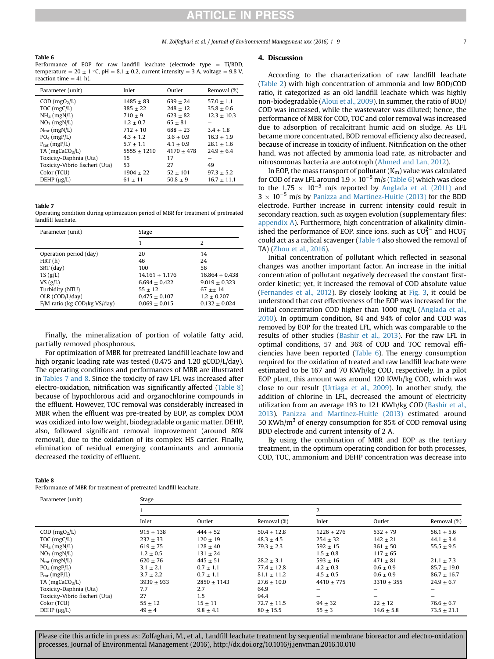### <span id="page-6-0"></span>Table 6

Performance of EOP for raw landfill leachate (electrode type  $=$  Ti/BDD, temperature  $= 20 \pm 1$  °C, pH  $= 8.1 \pm 0.2$ , current intensity  $= 3$  A, voltage  $= 9.8$  V, reaction time  $=$  41 h).

| Inlet         | Outlet                       | Removal (%)              |
|---------------|------------------------------|--------------------------|
| $1485 + 83$   | $639 + 24$                   | $57.0 + 1.1$             |
| $385 + 22$    | $248 + 12$                   | $35.8 + 0.6$             |
| $710 + 9$     | $623 + 82$                   | $12.3 + 10.3$            |
| $712 + 10$    | $688 + 23$                   | $3.4 \pm 1.8$            |
| $4.3 + 1.2$   | $3.6 + 0.9$                  | $16.3 + 1.9$             |
| $5555 + 1210$ | $4170 + 478$                 | $28.1 + 1.6$             |
| 15            | 17                           | $24.9 + 6.4$             |
| 53            | 27                           | 49                       |
| $1904 + 22$   | $52 + 101$                   | $97.3 \pm 5.2$           |
| $61 + 11$     | $50.8 + 9$                   | $16.7 \pm 11.1$          |
|               | $1.2 \pm 0.7$<br>$5.7 + 1.1$ | $65 + 81$<br>$4.1 + 0.9$ |

#### Table 7

Operating condition during optimization period of MBR for treatment of pretreated landfill leachate.

| Parameter (unit)             | Stage              |                    |  |  |
|------------------------------|--------------------|--------------------|--|--|
|                              |                    | 2                  |  |  |
| Operation period (day)       | 20                 | 14                 |  |  |
| HRT(h)                       | 46                 | 24                 |  |  |
| SRT (day)                    | 100                | 56                 |  |  |
| TS(g/L)                      | $14.161 \pm 1.176$ | $16.864 \pm 0.438$ |  |  |
| $VS$ (g/L)                   | $6.694 + 0.422$    | $9.019 + 0.323$    |  |  |
| Turbidity (NTU)              | $55 + 12$          | $67 + 14$          |  |  |
| OLR (COD/L/day)              | $0.475 + 0.107$    | $1.2 + 0.207$      |  |  |
| F/M ratio (kg COD/kg VS/day) | $0.069 + 0.015$    | $0.132 + 0.024$    |  |  |

Finally, the mineralization of portion of volatile fatty acid, partially removed phosphorous.

For optimization of MBR for pretreated landfill leachate low and high organic loading rate was tested (0.475 and 1.20 gCOD/L/day). The operating conditions and performances of MBR are illustrated in Tables 7 and 8. Since the toxicity of raw LFL was increased after electro-oxidation, nitrification was significantly affected (Table 8) because of hypochlorous acid and organochlorine compounds in the effluent. However, TOC removal was considerably increased in MBR when the effluent was pre-treated by EOP, as complex DOM was oxidized into low weight, biodegradable organic matter. DEHP, also, followed significant removal improvement (around 80% removal), due to the oxidation of its complex HS carrier. Finally, elimination of residual emerging contaminants and ammonia decreased the toxicity of effluent.

#### Table 8

Performance of MBR for treatment of pretreated landfill leachate.

#### 4. Discussion

According to the characterization of raw landfill leachate ([Table 2](#page-3-0)) with high concentration of ammonia and low BOD/COD ratio, it categorized as an old landfill leachate which was highly non-biodegradable ([Aloui et al., 2009](#page-8-0)). In summer, the ratio of BOD/ COD was increased, while the wastewater was diluted; hence, the performance of MBR for COD, TOC and color removal was increased due to adsorption of recalcitrant humic acid on sludge. As LFL became more concentrated, BOD removal efficiency also decreased, because of increase in toxicity of influent. Nitrification on the other hand, was not affected by ammonia load rate, as nitrobacter and nitrosomonas bacteria are autotroph ([Ahmed and Lan, 2012](#page-8-0)).

In EOP, the mass transport of pollutant  $(K_m)$  value was calculated for COD of raw LFL around  $1.9 \times 10^{-5}$  m/s (Table 6) which was close to the 1.75  $\times$  10<sup>-5</sup> m/s reported by [Anglada et al. \(2011\)](#page-8-0) and  $3 \times 10^{-5}$  m/s by [Panizza and Martinez-Huitle \(2013\)](#page-8-0) for the BDD electrode. Further increase in current intensity could result in secondary reaction, such as oxygen evolution (supplementary files: appendix A). Furthermore, high concentration of alkalinity diminished the performance of EOP, since ions, such as  $CO<sub>3</sub><sup>2</sup>$  and HCO<sub>3</sub> could act as a radical scavenger [\(Table 4](#page-5-0) also showed the removal of TA) ([Zhou et al., 2016](#page-8-0)).

Initial concentration of pollutant which reflected in seasonal changes was another important factor. An increase in the initial concentration of pollutant negatively decreased the constant firstorder kinetic; yet, it increased the removal of COD absolute value ([Fernandes et al., 2012](#page-8-0)). By closely looking at [Fig. 3,](#page-7-0) it could be understood that cost effectiveness of the EOP was increased for the initial concentration COD higher than 1000 mg/L ([Anglada et al.,](#page-8-0) [2010\)](#page-8-0). In optimum condition, 84 and 94% of color and COD was removed by EOP for the treated LFL, which was comparable to the results of other studies [\(Bashir et al., 2013](#page-8-0)). For the raw LFL in optimal conditions, 57 and 36% of COD and TOC removal efficiencies have been reported (Table 6). The energy consumption required for the oxidation of treated and raw landfill leachate were estimated to be 167 and 70 KWh/kg COD, respectively. In a pilot EOP plant, this amount was around 120 KWh/kg COD, which was close to our result [\(Urtiaga et al., 2009](#page-8-0)). In another study, the addition of chlorine in LFL, decreased the amount of electricity utilization from an average 193 to 121 KWh/kg COD ([Bashir et al.,](#page-8-0) [2013\)](#page-8-0). [Panizza and Martinez-Huitle \(2013\)](#page-8-0) estimated around 50 KWh/ $m<sup>3</sup>$  of energy consumption for 85% of COD removal using BDD electrode and current intensity of 2 A.

By using the combination of MBR and EOP as the tertiary treatment, in the optimum operating condition for both processes, COD, TOC, ammonium and DEHP concentration was decrease into

| Parameter (unit)               | Stage         |               |                 |               |                |                 |  |  |
|--------------------------------|---------------|---------------|-----------------|---------------|----------------|-----------------|--|--|
|                                |               |               |                 | 2             |                |                 |  |  |
|                                | Inlet         | Outlet        | Removal (%)     | Inlet         | Outlet         | Removal (%)     |  |  |
| $COD$ (mgO <sub>2</sub> /L)    | $915 + 138$   | $444 + 52$    | $50.4 + 12.8$   | $1226 + 276$  | $532 + 79$     | $56.1 \pm 5.6$  |  |  |
| TOC (mgC/L)                    | $232 \pm 33$  | $120 \pm 19$  | $48.3 + 4.5$    | $254 \pm 32$  | $142 + 21$     | $44.1 \pm 3.4$  |  |  |
| $NH_4$ (mgN/L)                 | $619 + 75$    | $128 + 40$    | $79.3 + 2.3$    | $592 + 15$    | $361 + 50$     | $55.5 \pm 9.5$  |  |  |
| $NO3$ (mgN/L)                  | $1.2 \pm 0.5$ | $131 \pm 24$  |                 | $1.5 \pm 0.8$ | $117 + 65$     |                 |  |  |
| $N_{\text{tot}}$ (mgN/L)       | $620 \pm 76$  | $445 \pm 51$  | $28.2 \pm 3.1$  | $593 \pm 16$  | $471 \pm 81$   | $21.1 \pm 7.3$  |  |  |
| $PO4$ (mgP/L)                  | $3.1 \pm 2.1$ | $0.7 \pm 1.1$ | $77.4 + 12.8$   | $4.2 \pm 0.3$ | $0.6 + 0.9$    | $85.7 + 19.0$   |  |  |
| $P_{\text{tot}}$ (mgP/L)       | $3.7 \pm 2.2$ | $0.7 \pm 1.1$ | $81.1 \pm 11.2$ | $4.5 + 0.5$   | $0.6 + 0.9$    | $86.7 \pm 16.7$ |  |  |
| $TA$ (mgCaCO <sub>3</sub> /L)  | $3939 + 933$  | $2850 + 1143$ | $27.6 + 10.0$   | $4410 + 775$  | $3310 + 355$   | $24.9 + 6.7$    |  |  |
| Toxicity-Daphnia (Uta)         | 7.7           | 2.7           | 64.9            |               |                |                 |  |  |
| Toxicity-Vibrio fischeri (Uta) | 27            | 1.5           | 94.4            | -             | -              | -               |  |  |
| Color (TCU)                    | $55 \pm 12$   | $15 \pm 11$   | $72.7 \pm 11.5$ | $94 \pm 32$   | $22 \pm 12$    | $76.6 \pm 6.7$  |  |  |
| $DEHP(\mu g/L)$                | $49 \pm 4$    | $9.8 \pm 4.1$ | $80 \pm 15.5$   | $55 \pm 3$    | $14.6 \pm 5.8$ | $73.5 \pm 21.1$ |  |  |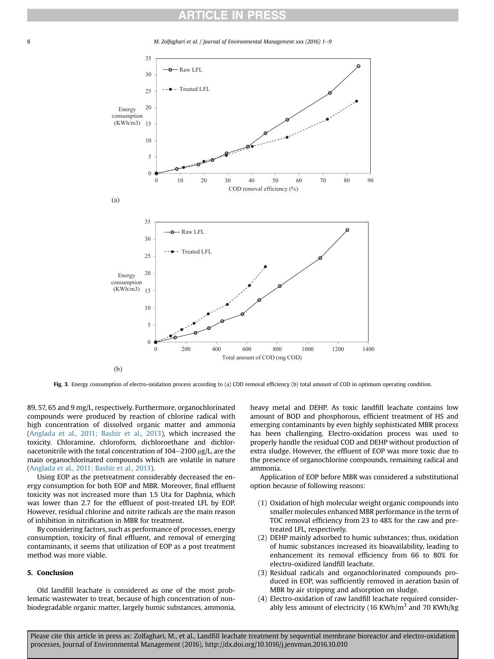## **RTICLE IN PRES**

<span id="page-7-0"></span>

Fig. 3. Energy consumption of electro-oxidation process according to (a) COD removal efficiency (b) total amount of COD in optimum operating condition.

89, 57, 65 and 9 mg/L, respectively. Furthermore, organochlorinated compounds were produced by reaction of chlorine radical with high concentration of dissolved organic matter and ammonia ([Anglada et al., 2011; Bashir et al., 2013](#page-8-0)), which increased the toxicity. Chloramine, chloroform, dichloroethane and dichloroacetonitrile with the total concentration of  $104-2100$   $\mu$ g/L, are the main organochlorinated compounds which are volatile in nature ([Anglada et al., 2011; Bashir et al., 2013\)](#page-8-0).

Using EOP as the pretreatment considerably decreased the energy consumption for both EOP and MBR. Moreover, final effluent toxicity was not increased more than 1.5 Uta for Daphnia, which was lower than 2.7 for the effluent of post-treated LFL by EOP. However, residual chlorine and nitrite radicals are the main reason of inhibition in nitrification in MBR for treatment.

By considering factors, such as performance of processes, energy consumption, toxicity of final effluent, and removal of emerging contaminants, it seems that utilization of EOP as a post treatment method was more viable.

## 5. Conclusion

Old landfill leachate is considered as one of the most problematic wastewater to treat, because of high concentration of nonbiodegradable organic matter, largely humic substances, ammonia, heavy metal and DEHP. As toxic landfill leachate contains low amount of BOD and phosphorous, efficient treatment of HS and emerging contaminants by even highly sophisticated MBR process has been challenging. Electro-oxidation process was used to properly handle the residual COD and DEHP without production of extra sludge. However, the effluent of EOP was more toxic due to the presence of organochlorine compounds, remaining radical and ammonia.

Application of EOP before MBR was considered a substitutional option because of following reasons:

- (1) Oxidation of high molecular weight organic compounds into smaller molecules enhanced MBR performance in the term of TOC removal efficiency from 23 to 48% for the raw and pretreated LFL, respectively.
- (2) DEHP mainly adsorbed to humic substances; thus, oxidation of humic substances increased its bioavailability, leading to enhancement its removal efficiency from 66 to 80% for electro-oxidized landfill leachate.
- (3) Residual radicals and organochlorinated compounds produced in EOP, was sufficiently removed in aeration basin of MBR by air stripping and adsorption on sludge.
- (4) Electro-oxidation of raw landfill leachate required considerably less amount of electricity (16 KWh/ $m<sup>3</sup>$  and 70 KWh/kg